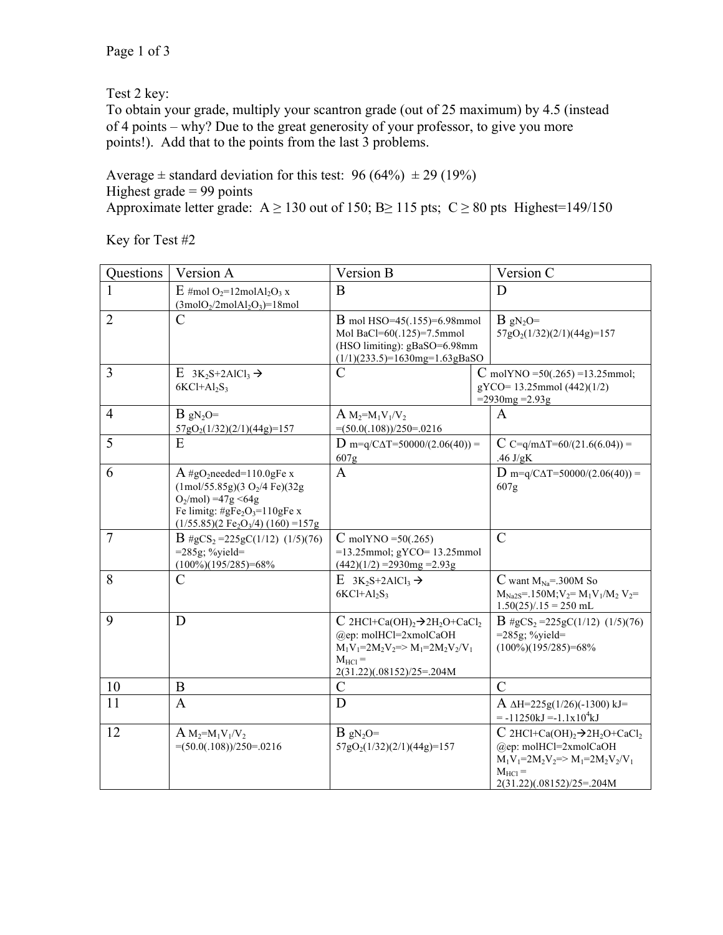Test 2 key:

To obtain your grade, multiply your scantron grade (out of 25 maximum) by 4.5 (instead of 4 points – why? Due to the great generosity of your professor, to give you more points!). Add that to the points from the last 3 problems.

Average  $\pm$  standard deviation for this test: 96 (64%)  $\pm$  29 (19%) Highest grade  $= 99$  points Approximate letter grade: A  $\geq$  130 out of 150; B $\geq$  115 pts; C  $\geq$  80 pts Highest=149/150

Key for Test #2

| Questions      | Version A                                                                                                                                                                                                                               | Version B                                                                                                                                                                                                           | Version C                                                                                                                                                                                                   |
|----------------|-----------------------------------------------------------------------------------------------------------------------------------------------------------------------------------------------------------------------------------------|---------------------------------------------------------------------------------------------------------------------------------------------------------------------------------------------------------------------|-------------------------------------------------------------------------------------------------------------------------------------------------------------------------------------------------------------|
|                | $E \text{ } \#$ mol $O_2=12$ mol $Al_2O_3$ x<br>$(3molO2/2molAl2O3)=18mol$                                                                                                                                                              | B                                                                                                                                                                                                                   | D                                                                                                                                                                                                           |
| $\overline{2}$ | C                                                                                                                                                                                                                                       | <b>B</b> mol HSO=45(.155)=6.98mmol<br>Mol BaCl=60(.125)=7.5mmol<br>(HSO limiting): gBaSO=6.98mm<br>$(1/1)(233.5)=1630$ mg=1.63gBaSO                                                                                 | $B$ gN <sub>2</sub> O=<br>57gO <sub>2</sub> (1/32)(2/1)(44g)=157                                                                                                                                            |
| 3              | $E \, 3K_2S + 2AICl_3 \rightarrow$<br>$6KCl+Al2S3$                                                                                                                                                                                      | C                                                                                                                                                                                                                   | C molYNO = $50(.265) = 13.25$ mmol;<br>gYCO=13.25mmol (442)(1/2)<br>$=2930mg = 2.93g$                                                                                                                       |
| $\overline{4}$ | $B$ gN <sub>2</sub> O=<br>57gO <sub>2</sub> (1/32)(2/1)(44g)=157                                                                                                                                                                        | $A M_2=M_1V_1/V_2$<br>$\equiv (50.0(.108))/250 = .0216$                                                                                                                                                             | A                                                                                                                                                                                                           |
| 5              | E                                                                                                                                                                                                                                       | $D$ m=q/C $\Delta T$ =50000/(2.06(40)) =<br>607g                                                                                                                                                                    | C C=q/m $\Delta$ T=60/(21.6(6.04)) =<br>.46 $J/gK$                                                                                                                                                          |
| 6              | $A \#gO_2$ needed=110.0gFe x<br>$(1 \text{mol}/55.85 \text{g})(3 \text{ O}_2/4 \text{Fe})(32 \text{g})$<br>$O_2$ /mol) = 47g < 64g<br>Fe limitg: $\#gFe_2O_3=110gFe$ x<br>$(1/55.85)(2 \text{ Fe}_2\text{O}_3/4) (160) = 157 \text{ g}$ | $\mathbf{A}$                                                                                                                                                                                                        | $D$ m=q/C $\Delta T$ =50000/(2.06(40)) =<br>607g                                                                                                                                                            |
| $\overline{7}$ | $B \# gCS_2 = 225gC(1/12)$ (1/5)(76)<br>$=285g$ ; %yield=<br>$(100\%)(195/285)=68\%$                                                                                                                                                    | $C$ molYNO = 50(.265)<br>$=13.25$ mmol; gYCO= 13.25mmol<br>$(442)(1/2)$ = 2930mg = 2.93g                                                                                                                            | $\mathcal{C}$                                                                                                                                                                                               |
| 8              | $\mathcal{C}$                                                                                                                                                                                                                           | $E \, 3K_2S + 2AICI_3 \rightarrow$<br>$6KCl+Al_2S_3$                                                                                                                                                                | C want $M_{Na} = 300M$ So<br>$M_{Na2S} = 150M; V_2 = M_1V_1/M_2 V_2 =$<br>$1.50(25)/.15 = 250$ mL                                                                                                           |
| 9              | D                                                                                                                                                                                                                                       | $C$ 2HCl+Ca(OH) <sub>2</sub> $\rightarrow$ 2H <sub>2</sub> O+CaCl <sub>2</sub><br>$(a)$ ep: molHCl=2xmolCaOH<br>$M_1V_1 = 2M_2V_2 \Rightarrow M_1 = 2M_2V_2/V_1$<br>$M_{\text{HCl}} =$<br>2(31.22)(.08152)/25=.204M | $B \# gCS_2 = 225gC(1/12)$ (1/5)(76)<br>$=285g$ ; %yield=<br>$(100\%)(195/285)=68\%$                                                                                                                        |
| 10             | $\mathbf B$                                                                                                                                                                                                                             | $\mathcal{C}$                                                                                                                                                                                                       | $\mathcal{C}$                                                                                                                                                                                               |
| 11             | $\overline{A}$                                                                                                                                                                                                                          | D                                                                                                                                                                                                                   | A $\Delta H = 225g(1/26)(-1300)$ kJ=<br>$= -11250kJ = -1.1x104kJ$                                                                                                                                           |
| 12             | $A M_2=M_1V_1/V_2$<br>$=(50.0(.108))/250=0.0216$                                                                                                                                                                                        | $B$ gN <sub>2</sub> O=<br>57gO <sub>2</sub> (1/32)(2/1)(44g)=157                                                                                                                                                    | $C$ 2HCl+Ca(OH) <sub>2</sub> $\rightarrow$ 2H <sub>2</sub> O+CaCl <sub>2</sub><br>$(a)$ ep: molHCl=2xmolCaOH<br>$M_1V_1 = 2M_2V_2 = > M_1 = 2M_2V_2/V_1$<br>$M_{\text{HCl}} =$<br>2(31.22)(.08152)/25=.204M |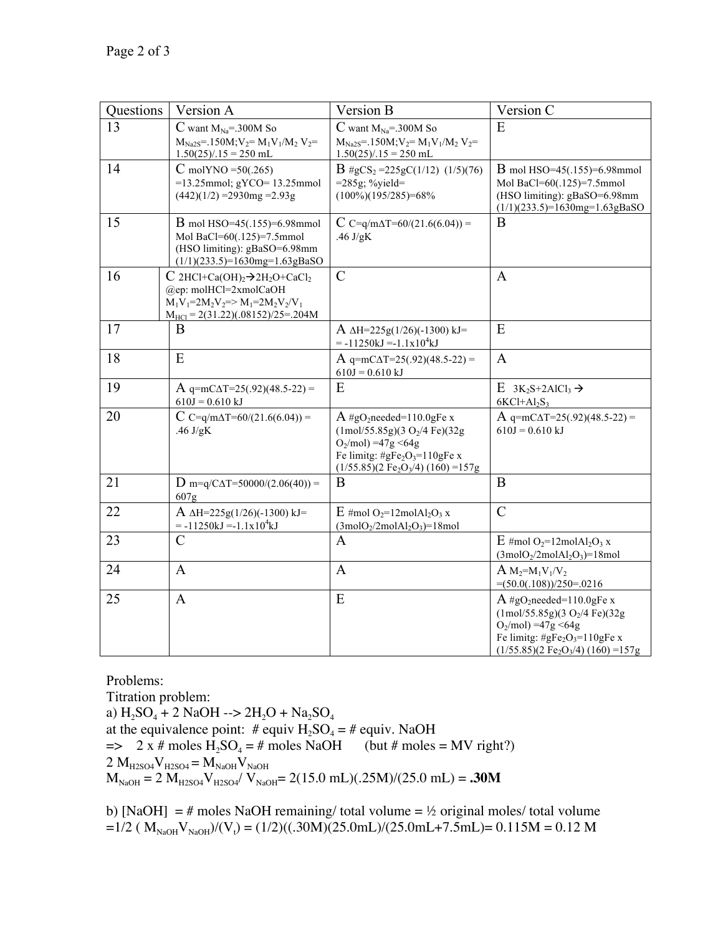| Questions | Version A                                                                                                                                                                                                | Version B                                                                                                                                                                                                                       | Version C                                                                                                                                                                                                                             |
|-----------|----------------------------------------------------------------------------------------------------------------------------------------------------------------------------------------------------------|---------------------------------------------------------------------------------------------------------------------------------------------------------------------------------------------------------------------------------|---------------------------------------------------------------------------------------------------------------------------------------------------------------------------------------------------------------------------------------|
| 13        | C want $M_{Na} = 300M$ So<br>$M_{Na2S} = 150M; V_2 = M_1V_1/M_2 V_2 =$<br>$1.50(25)/.15 = 250$ mL                                                                                                        | $C$ want $M_{Na} = 300M$ So<br>$M_{Na2S} = 150M; V_2 = M_1V_1/M_2 V_2 =$<br>$1.50(25)/.15 = 250$ mL                                                                                                                             | E                                                                                                                                                                                                                                     |
| 14        | $C$ molYNO = 50(.265)<br>$=13.25$ mmol; gYCO= 13.25mmol<br>$(442)(1/2) = 2930mg = 2.93g$                                                                                                                 | $B \# gCS_2 = 225gC(1/12)$ (1/5)(76)<br>$=285g$ ; %yield=<br>$(100\%)(195/285)=68\%$                                                                                                                                            | <b>B</b> mol HSO=45(.155)=6.98mmol<br>Mol BaCl=60(.125)=7.5mmol<br>(HSO limiting): gBaSO=6.98mm<br>$(1/1)(233.5)=1630$ mg=1.63gBaSO                                                                                                   |
| 15        | B mol HSO=45(.155)=6.98mmol<br>Mol BaCl=60(.125)=7.5mmol<br>(HSO limiting): gBaSO=6.98mm<br>$(1/1)(233.5)=1630$ mg=1.63gBaSO                                                                             | C C=q/m $\Delta$ T=60/(21.6(6.04)) =<br>.46 $J/gK$                                                                                                                                                                              | B                                                                                                                                                                                                                                     |
| 16        | $C$ 2HCl+Ca(OH) <sub>2</sub> $\rightarrow$ 2H <sub>2</sub> O+CaCl <sub>2</sub><br>@ep: molHCl=2xmolCaOH<br>$M_1V_1=2M_2V_2 \Rightarrow M_1=2M_2V_2/V_1$<br>$M_{\text{HCl}} = 2(31.22)(.08152)/25 = 204M$ | $\mathcal{C}$                                                                                                                                                                                                                   | $\mathbf{A}$                                                                                                                                                                                                                          |
| 17        | B                                                                                                                                                                                                        | A $\Delta H = 225g(1/26)(-1300)$ kJ=<br>$= -11250kJ = -1.1x104kJ$                                                                                                                                                               | E                                                                                                                                                                                                                                     |
| 18        | E                                                                                                                                                                                                        | A q=mC $\Delta$ T=25(.92)(48.5-22) =<br>$610J = 0.610 kJ$                                                                                                                                                                       | $\overline{A}$                                                                                                                                                                                                                        |
| 19        | A q=mC $\Delta$ T=25(.92)(48.5-22) =<br>$610J = 0.610 kJ$                                                                                                                                                | E                                                                                                                                                                                                                               | E $3K_2S+2AICl_3 \rightarrow$<br>$6KCl+Al_2S_3$                                                                                                                                                                                       |
| 20        | C C=q/m $\Delta$ T=60/(21.6(6.04)) =<br>.46 $J/gK$                                                                                                                                                       | $A \# gO_2$ needed=110.0gFe x<br>$(1 \text{mol}/55.85 \text{g})(3 \text{ O}_2/4 \text{Fe})(32 \text{g})$<br>$O_2$ /mol) = 47g < 64g<br>Fe limitg: $\#gFe_2O_3=110gFe$ x<br>$(1/55.85)(2 \text{ Fe}_2\text{O}_3/4) (160) = 157g$ | A q=mC $\Delta$ T=25(.92)(48.5-22) =<br>$610J = 0.610 kJ$                                                                                                                                                                             |
| 21        | $D_{\text{m=q/CAT}=50000/(2.06(40))}$ =<br>607g                                                                                                                                                          | B                                                                                                                                                                                                                               | B                                                                                                                                                                                                                                     |
| 22        | $A \Delta H = 225g(1/26)(-1300) kJ =$<br>$= -11250kJ = -1.1x104kJ$                                                                                                                                       | $E \#mol O_2=12mol Al_2O_3 x$<br>$(3 \text{mol} O_2 / 2 \text{mol} Al_2 O_3) = 18 \text{mol}$                                                                                                                                   | $\mathcal{C}$                                                                                                                                                                                                                         |
| 23        | $\mathcal{C}$                                                                                                                                                                                            | $\mathbf{A}$                                                                                                                                                                                                                    | $E \#mol O_2=12mol Al_2O_3 x$<br>$(3molO2/2molAl2O3)=18mol$                                                                                                                                                                           |
| 24        | $\mathbf{A}$                                                                                                                                                                                             | $\mathbf{A}$                                                                                                                                                                                                                    | $A M_2=M_1V_1/V_2$<br>$=(50.0(.108))/250=0.0216$                                                                                                                                                                                      |
| 25        | $\mathbf{A}$                                                                                                                                                                                             | E                                                                                                                                                                                                                               | $A \#gO_2$ needed=110.0gFe x<br>$(1 \text{mol}/55.85 \text{g})(3 \text{ O}_2/4 \text{Fe})(32 \text{g})$<br>$O_2/mol$ ) =47g <64g<br>Fe limitg: $\#gFe_2O_3=110gFe$ x<br>$(1/55.85)(2 \text{ Fe}_2\text{O}_3/4) (160) = 157 \text{ g}$ |

Problems:

Titration problem: a)  $H_2SO_4 + 2$  NaOH  $\rightarrow$  2H<sub>2</sub>O + Na<sub>2</sub>SO<sub>4</sub> at the equivalence point: # equiv  $H_2SO_4 = \text{\#}$  equiv. NaOH  $\Rightarrow$  2 x # moles H<sub>2</sub>SO<sub>4</sub> = # moles NaOH (but # moles = MV right?)  $2 M_{H2SO4}V_{H2SO4} = M_{NaOH}V_{NaOH}$  $M_{\text{NaOH}} = 2 M_{\text{H2SO4}} V_{\text{H2SO4}} / V_{\text{NaOH}} = 2(15.0 \text{ mL})(.25 \text{M}) / (25.0 \text{ mL}) = .30 \text{M}$ 

b) [NaOH]  $=$  # moles NaOH remaining/ total volume  $=$  ½ original moles/ total volume  $=1/2$  (  $\text{M}_{\text{NaOH}}\text{V}_{\text{NaOH}}$ )/(V<sub>t</sub>) = (1/2)((.30M)(25.0mL)/(25.0mL+7.5mL)= 0.115M = 0.12 M